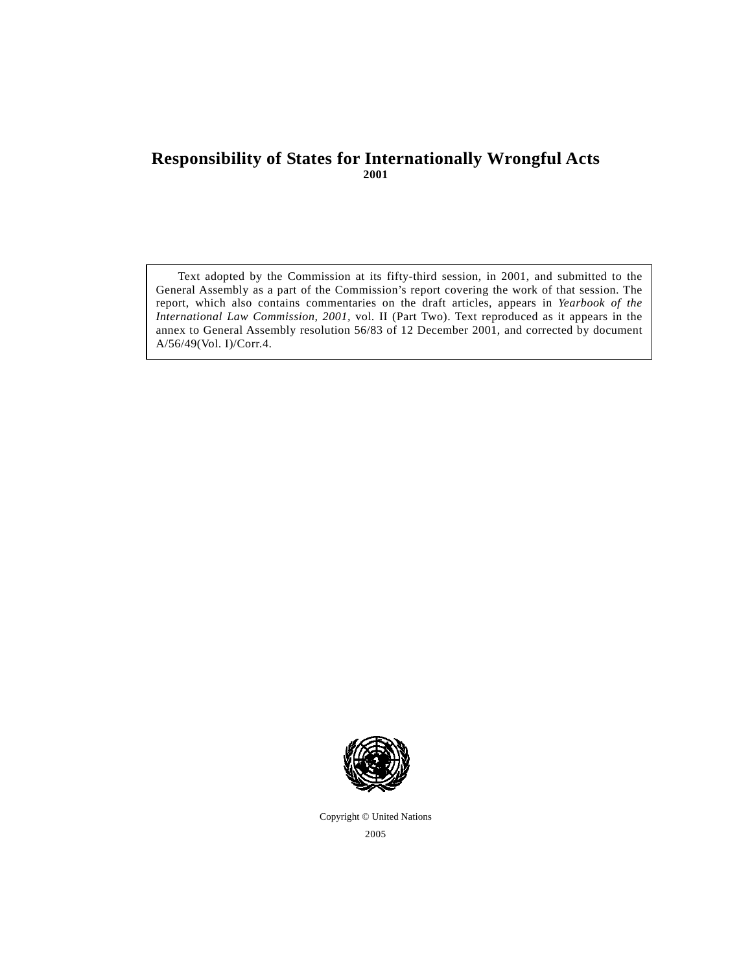# **Responsibility of States for Internationally Wrongful Acts 2001**

Text adopted by the Commission at its fifty-third session, in 2001, and submitted to the General Assembly as a part of the Commission's report covering the work of that session. The report, which also contains commentaries on the draft articles, appears in *Yearbook of the International Law Commission, 2001,* vol. II (Part Two). Text reproduced as it appears in the annex to General Assembly resolution 56/83 of 12 December 2001, and corrected by document A/56/49(Vol. I)/Corr.4.



Copyright © United Nations 2005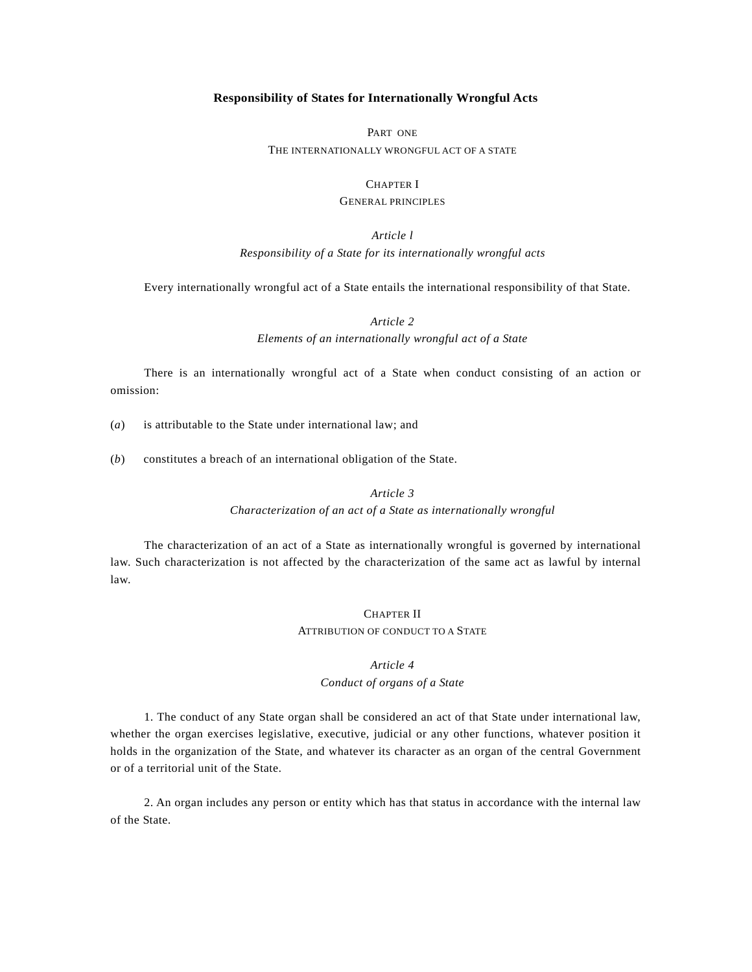#### **Responsibility of States for Internationally Wrongful Acts**

PART ONE THE INTERNATIONALLY WRONGFUL ACT OF A STATE

### CHAPTER I

### GENERAL PRINCIPLES

*Article l* 

#### *Responsibility of a State for its internationally wrongful acts*

Every internationally wrongful act of a State entails the international responsibility of that State.

*Article 2 Elements of an internationally wrongful act of a State* 

There is an internationally wrongful act of a State when conduct consisting of an action or omission:

(*a*) is attributable to the State under international law; and

(*b*) constitutes a breach of an international obligation of the State.

### *Article 3*

*Characterization of an act of a State as internationally wrongful* 

The characterization of an act of a State as internationally wrongful is governed by international law. Such characterization is not affected by the characterization of the same act as lawful by internal law.

### CHAPTER II

ATTRIBUTION OF CONDUCT TO A STATE

#### *Article 4*

#### *Conduct of organs of a State*

1. The conduct of any State organ shall be considered an act of that State under international law, whether the organ exercises legislative, executive, judicial or any other functions, whatever position it holds in the organization of the State, and whatever its character as an organ of the central Government or of a territorial unit of the State.

2. An organ includes any person or entity which has that status in accordance with the internal law of the State.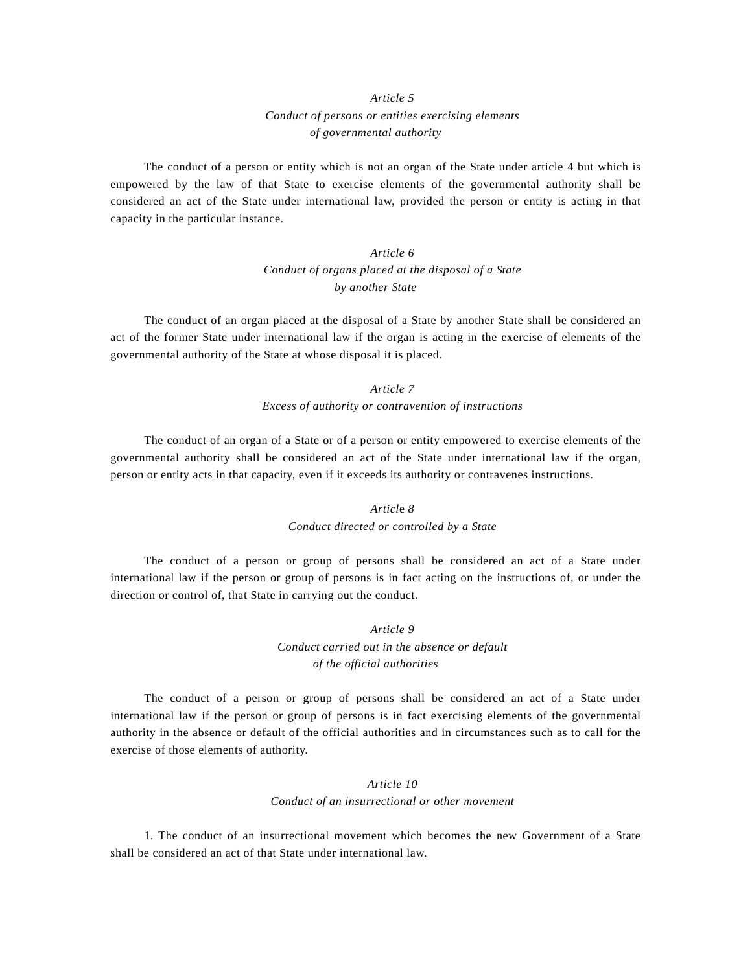# *Article 5 Conduct of persons or entities exercising elements of governmental authority*

The conduct of a person or entity which is not an organ of the State under article 4 but which is empowered by the law of that State to exercise elements of the governmental authority shall be considered an act of the State under international law, provided the person or entity is acting in that capacity in the particular instance.

# *Article 6 Conduct of organs placed at the disposal of a State by another State*

The conduct of an organ placed at the disposal of a State by another State shall be considered an act of the former State under international law if the organ is acting in the exercise of elements of the governmental authority of the State at whose disposal it is placed.

# *Article 7 Excess of authority or contravention of instructions*

The conduct of an organ of a State or of a person or entity empowered to exercise elements of the governmental authority shall be considered an act of the State under international law if the organ, person or entity acts in that capacity, even if it exceeds its authority or contravenes instructions.

### *Articl*e *8 Conduct directed or controlled by a State*

The conduct of a person or group of persons shall be considered an act of a State under international law if the person or group of persons is in fact acting on the instructions of, or under the direction or control of, that State in carrying out the conduct.

# *Article 9 Conduct carried out in the absence or default of the official authorities*

The conduct of a person or group of persons shall be considered an act of a State under international law if the person or group of persons is in fact exercising elements of the governmental authority in the absence or default of the official authorities and in circumstances such as to call for the exercise of those elements of authority.

# *Article 10 Conduct of an insurrectional or other movement*

1. The conduct of an insurrectional movement which becomes the new Government of a State shall be considered an act of that State under international law.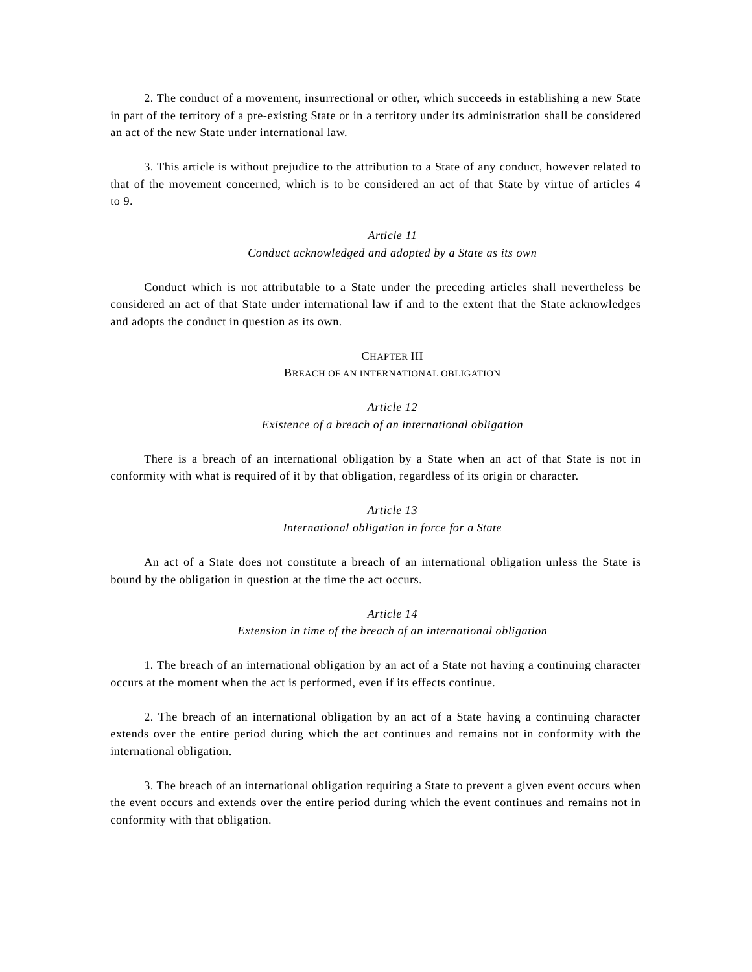2. The conduct of a movement, insurrectional or other, which succeeds in establishing a new State in part of the territory of a pre-existing State or in a territory under its administration shall be considered an act of the new State under international law.

3. This article is without prejudice to the attribution to a State of any conduct, however related to that of the movement concerned, which is to be considered an act of that State by virtue of articles 4 to 9.

#### *Article 11*

#### *Conduct acknowledged and adopted by a State as its own*

Conduct which is not attributable to a State under the preceding articles shall nevertheless be considered an act of that State under international law if and to the extent that the State acknowledges and adopts the conduct in question as its own.

#### CHAPTER III

#### BREACH OF AN INTERNATIONAL OBLIGATION

### *Article 12 Existence of a breach of an international obligation*

There is a breach of an international obligation by a State when an act of that State is not in conformity with what is required of it by that obligation, regardless of its origin or character.

#### *Article 13*

#### *International obligation in force for a State*

An act of a State does not constitute a breach of an international obligation unless the State is bound by the obligation in question at the time the act occurs.

### *Article 14*

*Extension in time of the breach of an international obligation* 

1. The breach of an international obligation by an act of a State not having a continuing character occurs at the moment when the act is performed, even if its effects continue.

2. The breach of an international obligation by an act of a State having a continuing character extends over the entire period during which the act continues and remains not in conformity with the international obligation.

3. The breach of an international obligation requiring a State to prevent a given event occurs when the event occurs and extends over the entire period during which the event continues and remains not in conformity with that obligation.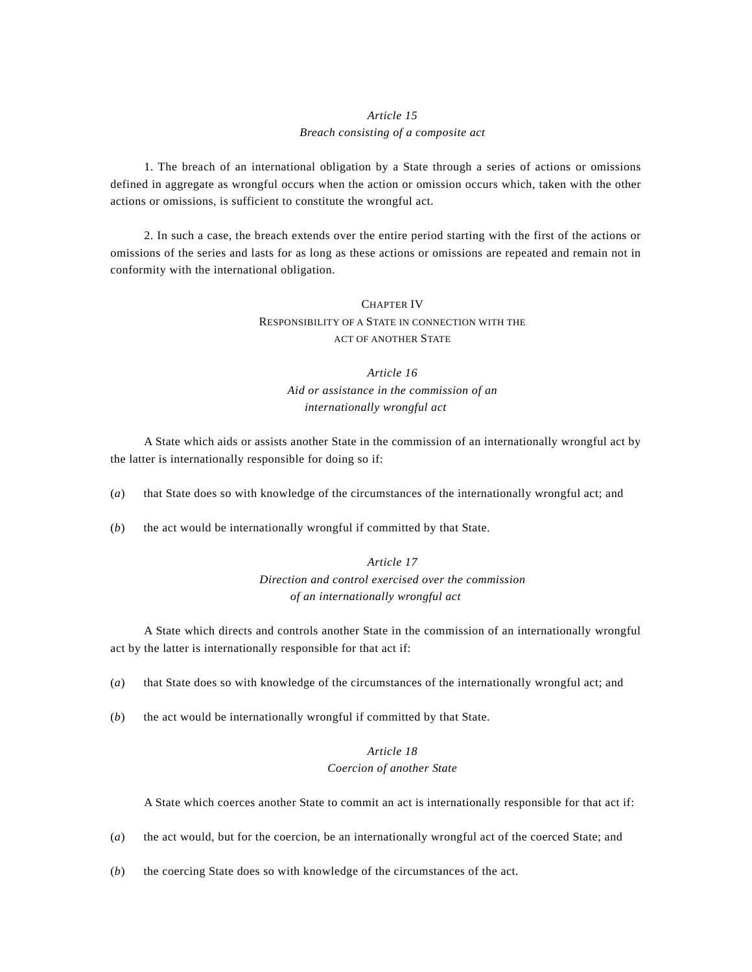# *Article 15 Breach consisting of a composite act*

1. The breach of an international obligation by a State through a series of actions or omissions defined in aggregate as wrongful occurs when the action or omission occurs which, taken with the other actions or omissions, is sufficient to constitute the wrongful act.

2. In such a case, the breach extends over the entire period starting with the first of the actions or omissions of the series and lasts for as long as these actions or omissions are repeated and remain not in conformity with the international obligation.

# CHAPTER IV RESPONSIBILITY OF A STATE IN CONNECTION WITH THE ACT OF ANOTHER STATE

# *Article 16 Aid or assistance in the commission of an internationally wrongful act*

A State which aids or assists another State in the commission of an internationally wrongful act by the latter is internationally responsible for doing so if:

(*a*) that State does so with knowledge of the circumstances of the internationally wrongful act; and

(*b*) the act would be internationally wrongful if committed by that State.

# *Article 17 Direction and control exercised over the commission of an internationally wrongful act*

A State which directs and controls another State in the commission of an internationally wrongful act by the latter is internationally responsible for that act if:

(*a*) that State does so with knowledge of the circumstances of the internationally wrongful act; and

(*b*) the act would be internationally wrongful if committed by that State.

# *Article 18 Coercion of another State*

A State which coerces another State to commit an act is internationally responsible for that act if:

- (*a*) the act would, but for the coercion, be an internationally wrongful act of the coerced State; and
- (*b*) the coercing State does so with knowledge of the circumstances of the act.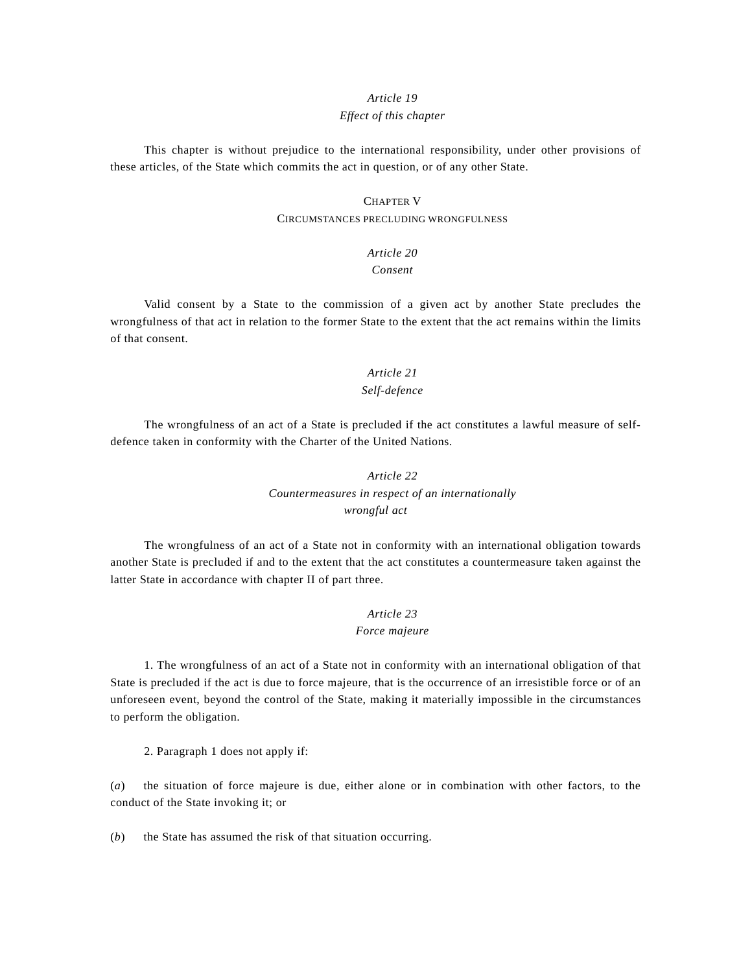### *Article 19*

#### *Effect of this chapter*

This chapter is without prejudice to the international responsibility, under other provisions of these articles, of the State which commits the act in question, or of any other State.

#### CHAPTER V

#### CIRCUMSTANCES PRECLUDING WRONGFULNESS

# *Article 20*

### *Consent*

Valid consent by a State to the commission of a given act by another State precludes the wrongfulness of that act in relation to the former State to the extent that the act remains within the limits of that consent.

### *Article 21 Self-defence*

The wrongfulness of an act of a State is precluded if the act constitutes a lawful measure of selfdefence taken in conformity with the Charter of the United Nations.

# *Article 22 Countermeasures in respect of an internationally wrongful act*

The wrongfulness of an act of a State not in conformity with an international obligation towards another State is precluded if and to the extent that the act constitutes a countermeasure taken against the latter State in accordance with chapter II of part three.

### *Article 23*

#### *Force majeure*

1. The wrongfulness of an act of a State not in conformity with an international obligation of that State is precluded if the act is due to force majeure, that is the occurrence of an irresistible force or of an unforeseen event, beyond the control of the State, making it materially impossible in the circumstances to perform the obligation.

2. Paragraph 1 does not apply if:

(*a*) the situation of force majeure is due, either alone or in combination with other factors, to the conduct of the State invoking it; or

(*b*) the State has assumed the risk of that situation occurring.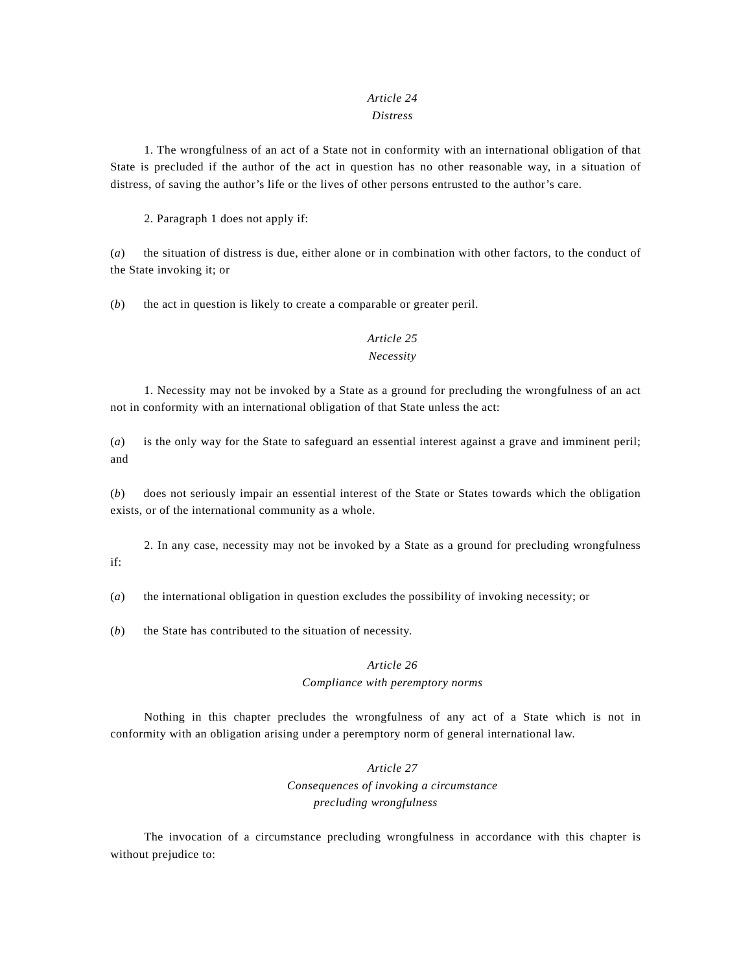# *Article 24*

### *Distress*

1. The wrongfulness of an act of a State not in conformity with an international obligation of that State is precluded if the author of the act in question has no other reasonable way, in a situation of distress, of saving the author's life or the lives of other persons entrusted to the author's care.

2. Paragraph 1 does not apply if:

(*a*) the situation of distress is due, either alone or in combination with other factors, to the conduct of the State invoking it; or

(*b*) the act in question is likely to create a comparable or greater peril.

### *Article 25*

#### *Necessity*

1. Necessity may not be invoked by a State as a ground for precluding the wrongfulness of an act not in conformity with an international obligation of that State unless the act:

(*a*) is the only way for the State to safeguard an essential interest against a grave and imminent peril; and

(*b*) does not seriously impair an essential interest of the State or States towards which the obligation exists, or of the international community as a whole.

2. In any case, necessity may not be invoked by a State as a ground for precluding wrongfulness if:

(*a*) the international obligation in question excludes the possibility of invoking necessity; or

(*b*) the State has contributed to the situation of necessity.

### *Article 26*

#### *Compliance with peremptory norms*

Nothing in this chapter precludes the wrongfulness of any act of a State which is not in conformity with an obligation arising under a peremptory norm of general international law.

# *Article 27 Consequences of invoking a circumstance precluding wrongfulness*

The invocation of a circumstance precluding wrongfulness in accordance with this chapter is without prejudice to: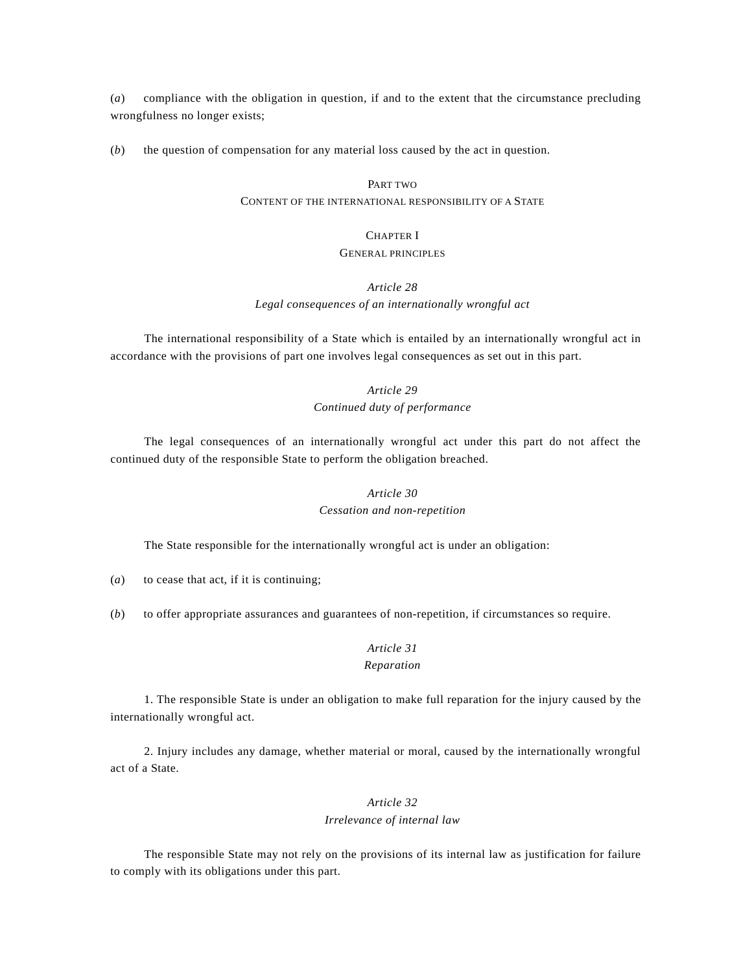(*a*) compliance with the obligation in question, if and to the extent that the circumstance precluding wrongfulness no longer exists;

(*b*) the question of compensation for any material loss caused by the act in question.

# PART TWO

### CONTENT OF THE INTERNATIONAL RESPONSIBILITY OF A STATE

### CHAPTER I

### GENERAL PRINCIPLES

# *Article 28 Legal consequences of an internationally wrongful act*

The international responsibility of a State which is entailed by an internationally wrongful act in accordance with the provisions of part one involves legal consequences as set out in this part.

### *Article 29*

### *Continued duty of performance*

The legal consequences of an internationally wrongful act under this part do not affect the continued duty of the responsible State to perform the obligation breached.

#### *Article 30*

#### *Cessation and non-repetition*

The State responsible for the internationally wrongful act is under an obligation:

- (*a*) to cease that act, if it is continuing;
- (*b*) to offer appropriate assurances and guarantees of non-repetition, if circumstances so require.

# *Article 31*

### *Reparation*

1. The responsible State is under an obligation to make full reparation for the injury caused by the internationally wrongful act.

2. Injury includes any damage, whether material or moral, caused by the internationally wrongful act of a State.

### *Article 32*

#### *Irrelevance of internal law*

The responsible State may not rely on the provisions of its internal law as justification for failure to comply with its obligations under this part.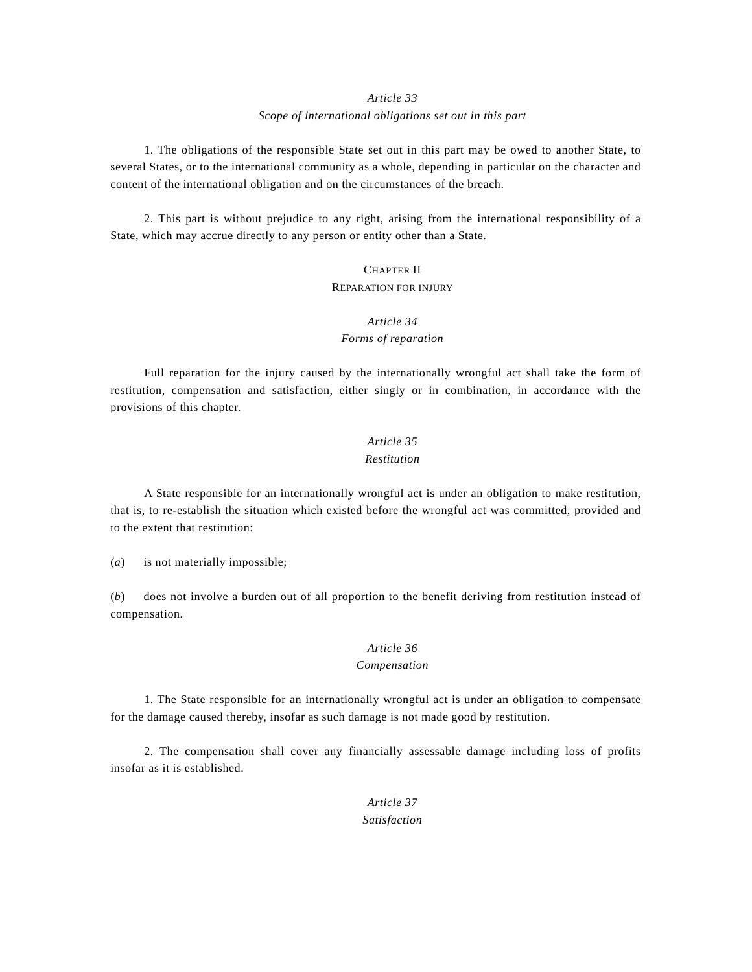#### *Article 33*

#### *Scope of international obligations set out in this part*

1. The obligations of the responsible State set out in this part may be owed to another State, to several States, or to the international community as a whole, depending in particular on the character and content of the international obligation and on the circumstances of the breach.

2. This part is without prejudice to any right, arising from the international responsibility of a State, which may accrue directly to any person or entity other than a State.

### CHAPTER II REPARATION FOR INJURY

### *Article 34 Forms of reparation*

Full reparation for the injury caused by the internationally wrongful act shall take the form of restitution, compensation and satisfaction, either singly or in combination, in accordance with the provisions of this chapter.

# *Article 35 Restitution*

A State responsible for an internationally wrongful act is under an obligation to make restitution, that is, to re-establish the situation which existed before the wrongful act was committed, provided and to the extent that restitution:

(*a*) is not materially impossible;

(*b*) does not involve a burden out of all proportion to the benefit deriving from restitution instead of compensation.

# *Article 36*

### *Compensation*

1. The State responsible for an internationally wrongful act is under an obligation to compensate for the damage caused thereby, insofar as such damage is not made good by restitution.

2. The compensation shall cover any financially assessable damage including loss of profits insofar as it is established.

# *Article 37 Satisfaction*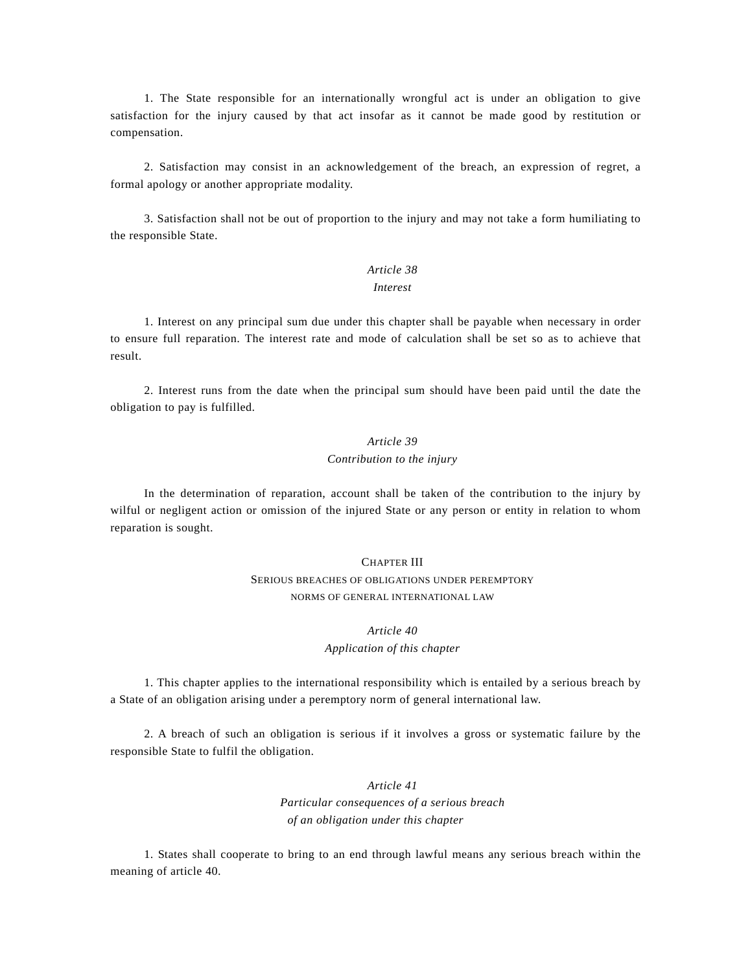1. The State responsible for an internationally wrongful act is under an obligation to give satisfaction for the injury caused by that act insofar as it cannot be made good by restitution or compensation.

2. Satisfaction may consist in an acknowledgement of the breach, an expression of regret, a formal apology or another appropriate modality.

3. Satisfaction shall not be out of proportion to the injury and may not take a form humiliating to the responsible State.

### *Article 38 Interest*

1. Interest on any principal sum due under this chapter shall be payable when necessary in order to ensure full reparation. The interest rate and mode of calculation shall be set so as to achieve that result.

2. Interest runs from the date when the principal sum should have been paid until the date the obligation to pay is fulfilled.

# *Article 39 Contribution to the injury*

In the determination of reparation, account shall be taken of the contribution to the injury by wilful or negligent action or omission of the injured State or any person or entity in relation to whom reparation is sought.

# CHAPTER III SERIOUS BREACHES OF OBLIGATIONS UNDER PEREMPTORY NORMS OF GENERAL INTERNATIONAL LAW

### *Article 40*

#### *Application of this chapter*

1. This chapter applies to the international responsibility which is entailed by a serious breach by a State of an obligation arising under a peremptory norm of general international law.

2. A breach of such an obligation is serious if it involves a gross or systematic failure by the responsible State to fulfil the obligation.

# *Article 41 Particular consequences of a serious breach of an obligation under this chapter*

1. States shall cooperate to bring to an end through lawful means any serious breach within the meaning of article 40.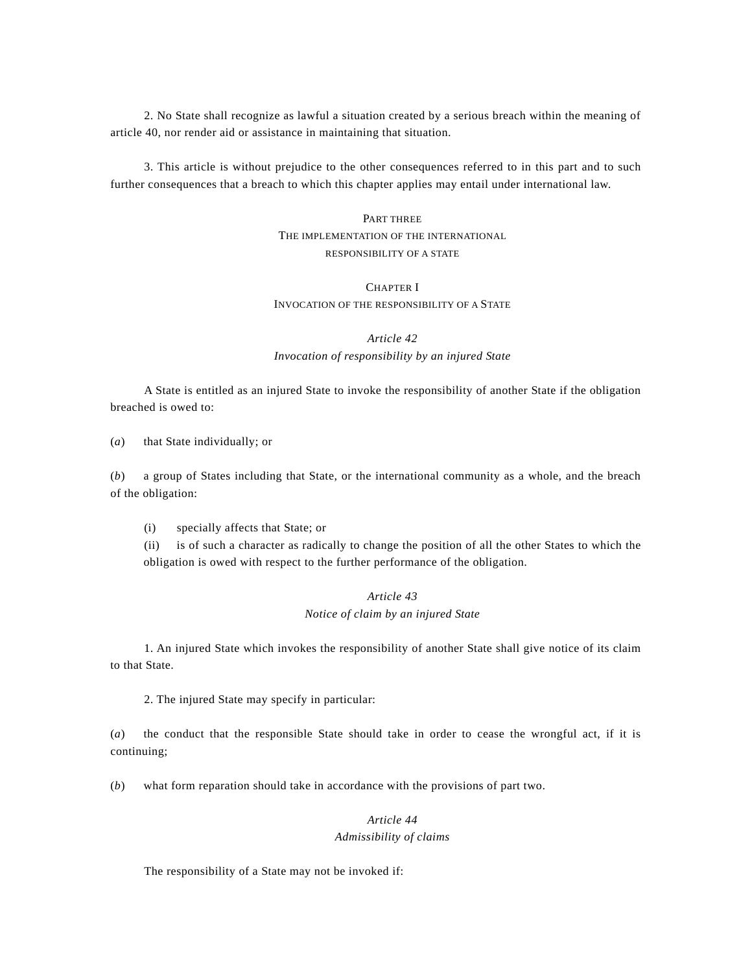2. No State shall recognize as lawful a situation created by a serious breach within the meaning of article 40, nor render aid or assistance in maintaining that situation.

3. This article is without prejudice to the other consequences referred to in this part and to such further consequences that a breach to which this chapter applies may entail under international law.

> PART THREE THE IMPLEMENTATION OF THE INTERNATIONAL RESPONSIBILITY OF A STATE

# CHAPTER I INVOCATION OF THE RESPONSIBILITY OF A STATE

# *Article 42 Invocation of responsibility by an injured State*

A State is entitled as an injured State to invoke the responsibility of another State if the obligation breached is owed to:

(*a*) that State individually; or

(*b*) a group of States including that State, or the international community as a whole, and the breach of the obligation:

(i) specially affects that State; or

(ii) is of such a character as radically to change the position of all the other States to which the obligation is owed with respect to the further performance of the obligation.

# *Article 43 Notice of claim by an injured State*

1. An injured State which invokes the responsibility of another State shall give notice of its claim to that State.

2. The injured State may specify in particular:

(*a*) the conduct that the responsible State should take in order to cease the wrongful act, if it is continuing;

(*b*) what form reparation should take in accordance with the provisions of part two.

### *Article 44 Admissibility of claims*

The responsibility of a State may not be invoked if: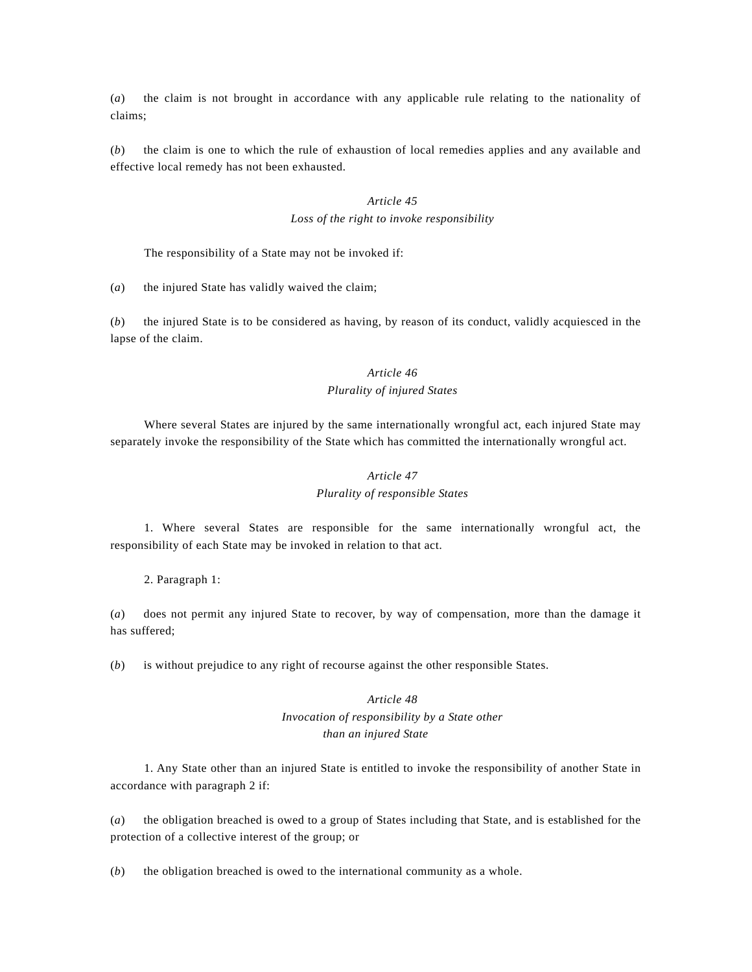(*a*) the claim is not brought in accordance with any applicable rule relating to the nationality of claims;

(*b*) the claim is one to which the rule of exhaustion of local remedies applies and any available and effective local remedy has not been exhausted.

# *Article 45 Loss of the right to invoke responsibility*

The responsibility of a State may not be invoked if:

(*a*) the injured State has validly waived the claim;

(*b*) the injured State is to be considered as having, by reason of its conduct, validly acquiesced in the lapse of the claim.

### *Article 46 Plurality of injured States*

Where several States are injured by the same internationally wrongful act, each injured State may separately invoke the responsibility of the State which has committed the internationally wrongful act.

# *Article 47 Plurality of responsible States*

1. Where several States are responsible for the same internationally wrongful act, the responsibility of each State may be invoked in relation to that act.

2. Paragraph 1:

(*a*) does not permit any injured State to recover, by way of compensation, more than the damage it has suffered;

(*b*) is without prejudice to any right of recourse against the other responsible States.

# *Article 48 Invocation of responsibility by a State other than an injured State*

1. Any State other than an injured State is entitled to invoke the responsibility of another State in accordance with paragraph 2 if:

(*a*) the obligation breached is owed to a group of States including that State, and is established for the protection of a collective interest of the group; or

(*b*) the obligation breached is owed to the international community as a whole.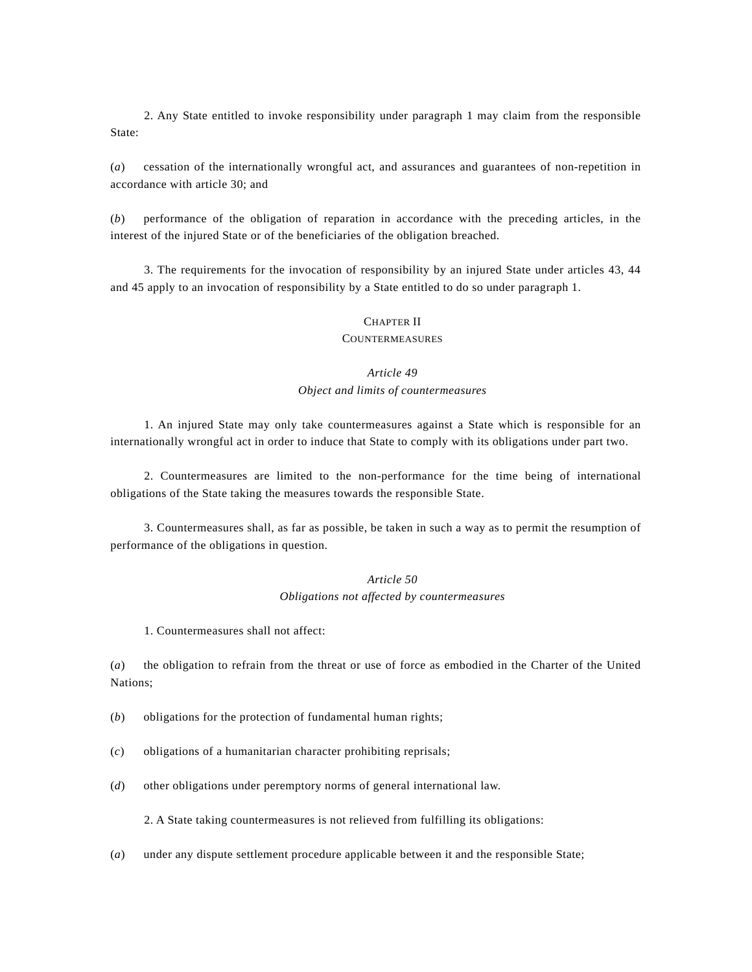2. Any State entitled to invoke responsibility under paragraph 1 may claim from the responsible State:

(*a*) cessation of the internationally wrongful act, and assurances and guarantees of non-repetition in accordance with article 30; and

(*b*) performance of the obligation of reparation in accordance with the preceding articles, in the interest of the injured State or of the beneficiaries of the obligation breached.

3. The requirements for the invocation of responsibility by an injured State under articles 43, 44 and 45 apply to an invocation of responsibility by a State entitled to do so under paragraph 1.

# CHAPTER II

# **COUNTERMEASURES**

# *Article 49 Object and limits of countermeasures*

1. An injured State may only take countermeasures against a State which is responsible for an internationally wrongful act in order to induce that State to comply with its obligations under part two.

2. Countermeasures are limited to the non-performance for the time being of international obligations of the State taking the measures towards the responsible State.

3. Countermeasures shall, as far as possible, be taken in such a way as to permit the resumption of performance of the obligations in question.

# *Article 50 Obligations not affected by countermeasures*

1. Countermeasures shall not affect:

(*a*) the obligation to refrain from the threat or use of force as embodied in the Charter of the United Nations;

(*b*) obligations for the protection of fundamental human rights;

- (*c*) obligations of a humanitarian character prohibiting reprisals;
- (*d*) other obligations under peremptory norms of general international law.

2. A State taking countermeasures is not relieved from fulfilling its obligations:

(*a*) under any dispute settlement procedure applicable between it and the responsible State;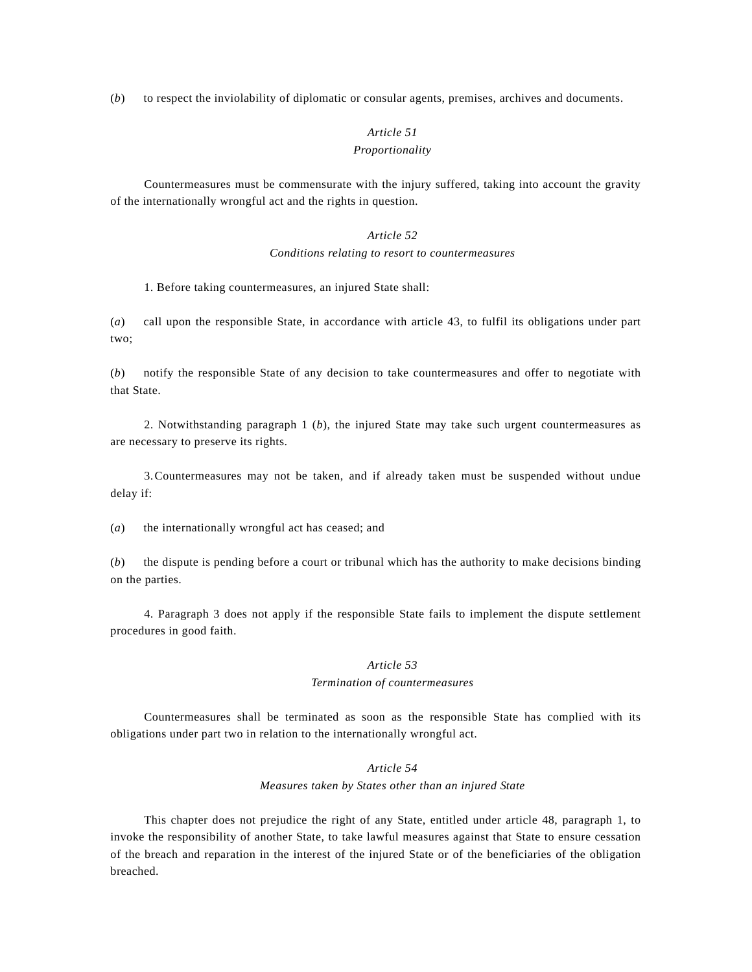(*b*) to respect the inviolability of diplomatic or consular agents, premises, archives and documents.

# *Article 51 Proportionality*

Countermeasures must be commensurate with the injury suffered, taking into account the gravity of the internationally wrongful act and the rights in question.

### *Article 52 Conditions relating to resort to countermeasures*

1. Before taking countermeasures, an injured State shall:

(*a*) call upon the responsible State, in accordance with article 43, to fulfil its obligations under part two;

(*b*) notify the responsible State of any decision to take countermeasures and offer to negotiate with that State.

2. Notwithstanding paragraph 1 (*b*), the injured State may take such urgent countermeasures as are necessary to preserve its rights.

3. Countermeasures may not be taken, and if already taken must be suspended without undue delay if:

(*a*) the internationally wrongful act has ceased; and

(*b*) the dispute is pending before a court or tribunal which has the authority to make decisions binding on the parties.

4. Paragraph 3 does not apply if the responsible State fails to implement the dispute settlement procedures in good faith.

### *Article 53*

#### *Termination of countermeasures*

Countermeasures shall be terminated as soon as the responsible State has complied with its obligations under part two in relation to the internationally wrongful act.

### *Article 54*

### *Measures taken by States other than an injured State*

This chapter does not prejudice the right of any State, entitled under article 48, paragraph 1, to invoke the responsibility of another State, to take lawful measures against that State to ensure cessation of the breach and reparation in the interest of the injured State or of the beneficiaries of the obligation breached.